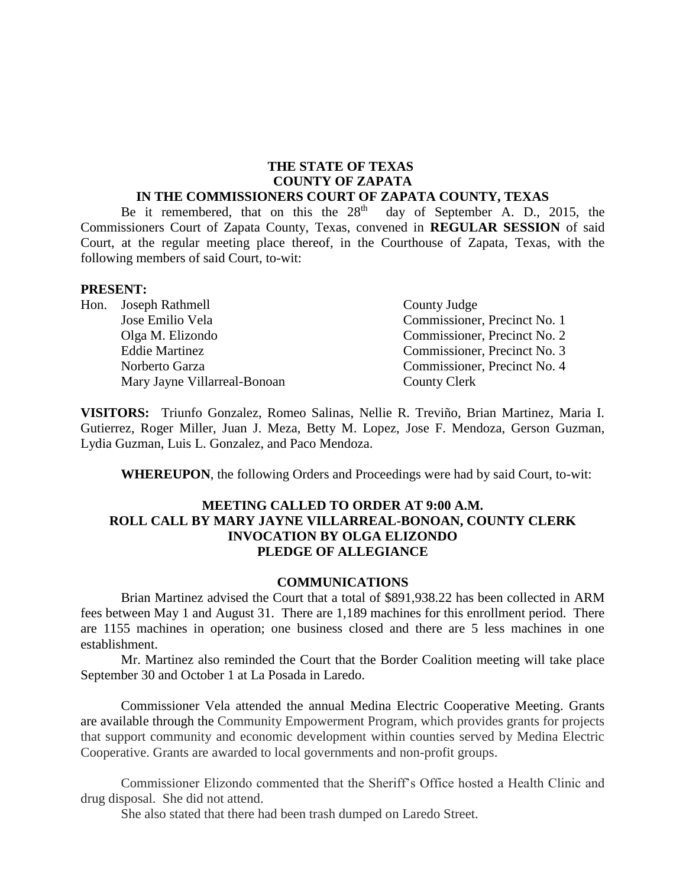# **THE STATE OF TEXAS COUNTY OF ZAPATA**

# **IN THE COMMISSIONERS COURT OF ZAPATA COUNTY, TEXAS**

Be it remembered, that on this the  $28<sup>th</sup>$  day of September A. D., 2015, the Commissioners Court of Zapata County, Texas, convened in **REGULAR SESSION** of said Court, at the regular meeting place thereof, in the Courthouse of Zapata, Texas, with the following members of said Court, to-wit:

#### **PRESENT:**

| Hon. Joseph Rathmell         | County Judge                 |
|------------------------------|------------------------------|
| Jose Emilio Vela             | Commissioner, Precinct No. 1 |
| Olga M. Elizondo             | Commissioner, Precinct No. 2 |
| <b>Eddie Martinez</b>        | Commissioner, Precinct No. 3 |
| Norberto Garza               | Commissioner, Precinct No. 4 |
| Mary Jayne Villarreal-Bonoan | <b>County Clerk</b>          |

**VISITORS:** Triunfo Gonzalez, Romeo Salinas, Nellie R. Treviño, Brian Martinez, Maria I. Gutierrez, Roger Miller, Juan J. Meza, Betty M. Lopez, Jose F. Mendoza, Gerson Guzman, Lydia Guzman, Luis L. Gonzalez, and Paco Mendoza.

**WHEREUPON**, the following Orders and Proceedings were had by said Court, to-wit:

### **MEETING CALLED TO ORDER AT 9:00 A.M. ROLL CALL BY MARY JAYNE VILLARREAL-BONOAN, COUNTY CLERK INVOCATION BY OLGA ELIZONDO PLEDGE OF ALLEGIANCE**

#### **COMMUNICATIONS**

Brian Martinez advised the Court that a total of \$891,938.22 has been collected in ARM fees between May 1 and August 31. There are 1,189 machines for this enrollment period. There are 1155 machines in operation; one business closed and there are 5 less machines in one establishment.

Mr. Martinez also reminded the Court that the Border Coalition meeting will take place September 30 and October 1 at La Posada in Laredo.

Commissioner Vela attended the annual Medina Electric Cooperative Meeting. Grants are available through the Community Empowerment Program, which provides grants for projects that support community and economic development within counties served by Medina Electric Cooperative. Grants are awarded to local governments and non-profit groups.

Commissioner Elizondo commented that the Sheriff's Office hosted a Health Clinic and drug disposal. She did not attend.

She also stated that there had been trash dumped on Laredo Street.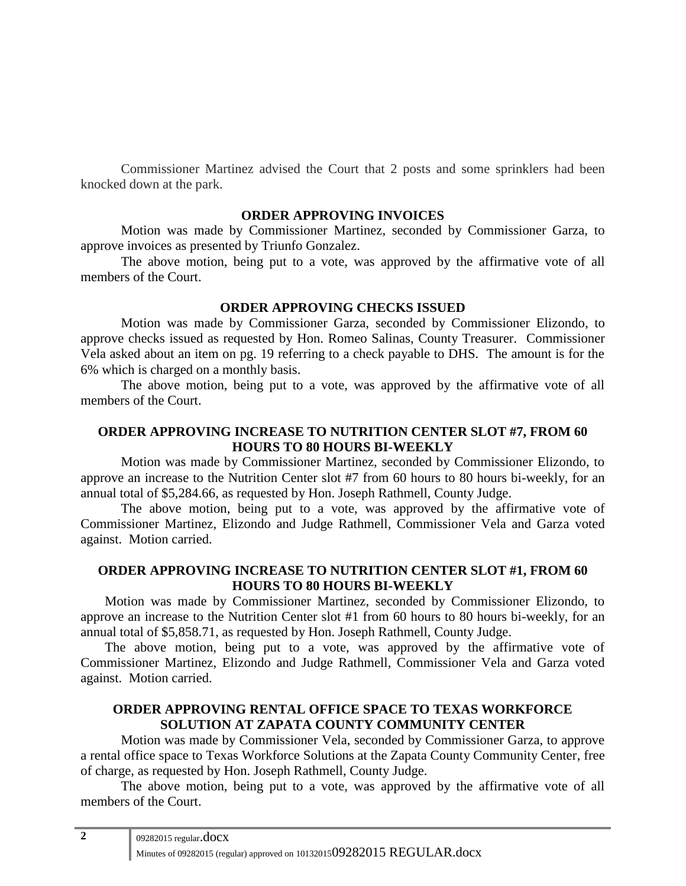Commissioner Martinez advised the Court that 2 posts and some sprinklers had been knocked down at the park.

#### **ORDER APPROVING INVOICES**

Motion was made by Commissioner Martinez, seconded by Commissioner Garza, to approve invoices as presented by Triunfo Gonzalez.

The above motion, being put to a vote, was approved by the affirmative vote of all members of the Court.

#### **ORDER APPROVING CHECKS ISSUED**

Motion was made by Commissioner Garza, seconded by Commissioner Elizondo, to approve checks issued as requested by Hon. Romeo Salinas, County Treasurer. Commissioner Vela asked about an item on pg. 19 referring to a check payable to DHS. The amount is for the 6% which is charged on a monthly basis.

The above motion, being put to a vote, was approved by the affirmative vote of all members of the Court.

## **ORDER APPROVING INCREASE TO NUTRITION CENTER SLOT #7, FROM 60 HOURS TO 80 HOURS BI-WEEKLY**

Motion was made by Commissioner Martinez, seconded by Commissioner Elizondo, to approve an increase to the Nutrition Center slot #7 from 60 hours to 80 hours bi-weekly, for an annual total of \$5,284.66, as requested by Hon. Joseph Rathmell, County Judge.

The above motion, being put to a vote, was approved by the affirmative vote of Commissioner Martinez, Elizondo and Judge Rathmell, Commissioner Vela and Garza voted against. Motion carried.

## **ORDER APPROVING INCREASE TO NUTRITION CENTER SLOT #1, FROM 60 HOURS TO 80 HOURS BI-WEEKLY**

Motion was made by Commissioner Martinez, seconded by Commissioner Elizondo, to approve an increase to the Nutrition Center slot #1 from 60 hours to 80 hours bi-weekly, for an annual total of \$5,858.71, as requested by Hon. Joseph Rathmell, County Judge.

The above motion, being put to a vote, was approved by the affirmative vote of Commissioner Martinez, Elizondo and Judge Rathmell, Commissioner Vela and Garza voted against. Motion carried.

## **ORDER APPROVING RENTAL OFFICE SPACE TO TEXAS WORKFORCE SOLUTION AT ZAPATA COUNTY COMMUNITY CENTER**

Motion was made by Commissioner Vela, seconded by Commissioner Garza, to approve a rental office space to Texas Workforce Solutions at the Zapata County Community Center, free of charge, as requested by Hon. Joseph Rathmell, County Judge.

The above motion, being put to a vote, was approved by the affirmative vote of all members of the Court.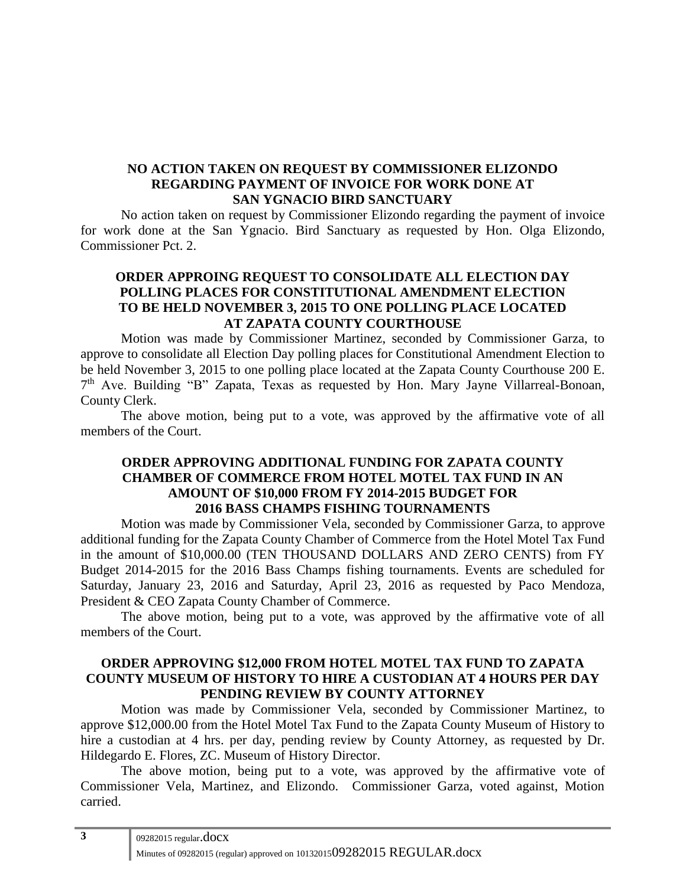## **NO ACTION TAKEN ON REQUEST BY COMMISSIONER ELIZONDO REGARDING PAYMENT OF INVOICE FOR WORK DONE AT SAN YGNACIO BIRD SANCTUARY**

No action taken on request by Commissioner Elizondo regarding the payment of invoice for work done at the San Ygnacio. Bird Sanctuary as requested by Hon. Olga Elizondo, Commissioner Pct. 2.

# **ORDER APPROING REQUEST TO CONSOLIDATE ALL ELECTION DAY POLLING PLACES FOR CONSTITUTIONAL AMENDMENT ELECTION TO BE HELD NOVEMBER 3, 2015 TO ONE POLLING PLACE LOCATED AT ZAPATA COUNTY COURTHOUSE**

Motion was made by Commissioner Martinez, seconded by Commissioner Garza, to approve to consolidate all Election Day polling places for Constitutional Amendment Election to be held November 3, 2015 to one polling place located at the Zapata County Courthouse 200 E. 7<sup>th</sup> Ave. Building "B" Zapata, Texas as requested by Hon. Mary Jayne Villarreal-Bonoan, County Clerk.

The above motion, being put to a vote, was approved by the affirmative vote of all members of the Court.

# **ORDER APPROVING ADDITIONAL FUNDING FOR ZAPATA COUNTY CHAMBER OF COMMERCE FROM HOTEL MOTEL TAX FUND IN AN AMOUNT OF \$10,000 FROM FY 2014-2015 BUDGET FOR 2016 BASS CHAMPS FISHING TOURNAMENTS**

Motion was made by Commissioner Vela, seconded by Commissioner Garza, to approve additional funding for the Zapata County Chamber of Commerce from the Hotel Motel Tax Fund in the amount of \$10,000.00 (TEN THOUSAND DOLLARS AND ZERO CENTS) from FY Budget 2014-2015 for the 2016 Bass Champs fishing tournaments. Events are scheduled for Saturday, January 23, 2016 and Saturday, April 23, 2016 as requested by Paco Mendoza, President & CEO Zapata County Chamber of Commerce.

The above motion, being put to a vote, was approved by the affirmative vote of all members of the Court.

## **ORDER APPROVING \$12,000 FROM HOTEL MOTEL TAX FUND TO ZAPATA COUNTY MUSEUM OF HISTORY TO HIRE A CUSTODIAN AT 4 HOURS PER DAY PENDING REVIEW BY COUNTY ATTORNEY**

Motion was made by Commissioner Vela, seconded by Commissioner Martinez, to approve \$12,000.00 from the Hotel Motel Tax Fund to the Zapata County Museum of History to hire a custodian at 4 hrs. per day, pending review by County Attorney, as requested by Dr. Hildegardo E. Flores, ZC. Museum of History Director.

The above motion, being put to a vote, was approved by the affirmative vote of Commissioner Vela, Martinez, and Elizondo. Commissioner Garza, voted against, Motion carried.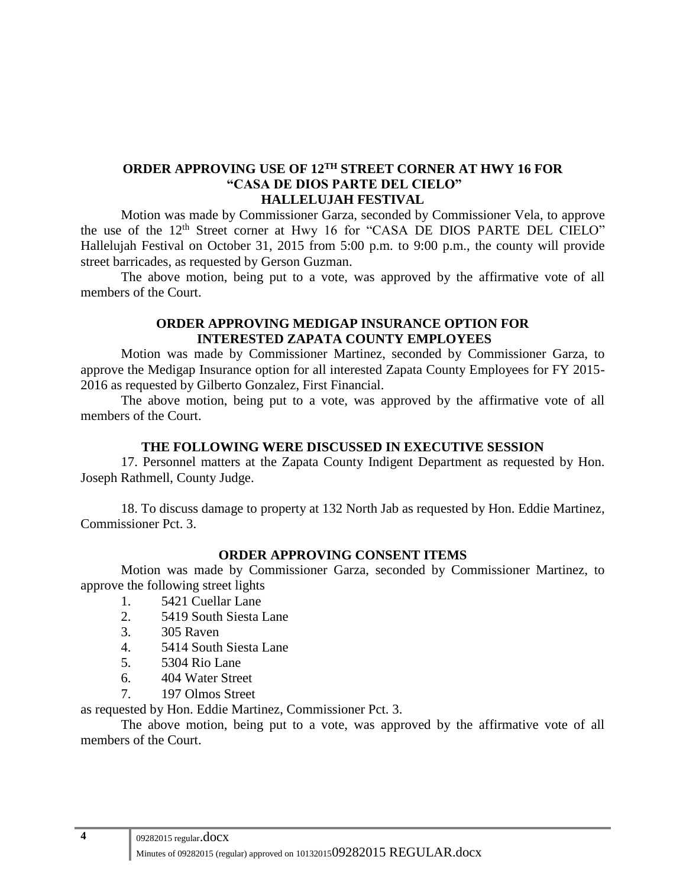## **ORDER APPROVING USE OF 12TH STREET CORNER AT HWY 16 FOR "CASA DE DIOS PARTE DEL CIELO" HALLELUJAH FESTIVAL**

Motion was made by Commissioner Garza, seconded by Commissioner Vela, to approve the use of the 12<sup>th</sup> Street corner at Hwy 16 for "CASA DE DIOS PARTE DEL CIELO" Hallelujah Festival on October 31, 2015 from 5:00 p.m. to 9:00 p.m., the county will provide street barricades, as requested by Gerson Guzman.

The above motion, being put to a vote, was approved by the affirmative vote of all members of the Court.

#### **ORDER APPROVING MEDIGAP INSURANCE OPTION FOR INTERESTED ZAPATA COUNTY EMPLOYEES**

Motion was made by Commissioner Martinez, seconded by Commissioner Garza, to approve the Medigap Insurance option for all interested Zapata County Employees for FY 2015- 2016 as requested by Gilberto Gonzalez, First Financial.

The above motion, being put to a vote, was approved by the affirmative vote of all members of the Court.

#### **THE FOLLOWING WERE DISCUSSED IN EXECUTIVE SESSION**

17. Personnel matters at the Zapata County Indigent Department as requested by Hon. Joseph Rathmell, County Judge.

18. To discuss damage to property at 132 North Jab as requested by Hon. Eddie Martinez, Commissioner Pct. 3.

## **ORDER APPROVING CONSENT ITEMS**

Motion was made by Commissioner Garza, seconded by Commissioner Martinez, to approve the following street lights

- 1. 5421 Cuellar Lane
- 2. 5419 South Siesta Lane
- 3. 305 Raven
- 4. 5414 South Siesta Lane
- 5. 5304 Rio Lane
- 6. 404 Water Street
- 7. 197 Olmos Street

as requested by Hon. Eddie Martinez, Commissioner Pct. 3.

The above motion, being put to a vote, was approved by the affirmative vote of all members of the Court.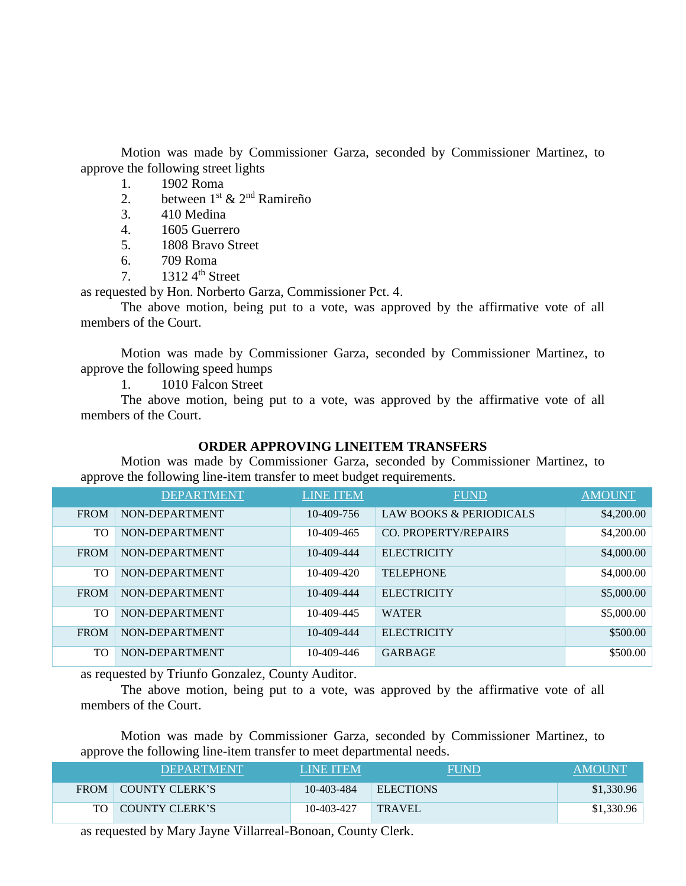Motion was made by Commissioner Garza, seconded by Commissioner Martinez, to approve the following street lights

- 1. 1902 Roma
- 2. between  $1^{st}$  &  $2^{nd}$  Ramireño
- 3. 410 Medina
- 4. 1605 Guerrero
- 5. 1808 Bravo Street
- 6. 709 Roma
- 7.  $1312 \, 4^{\text{th}}$  Street

as requested by Hon. Norberto Garza, Commissioner Pct. 4.

The above motion, being put to a vote, was approved by the affirmative vote of all members of the Court.

Motion was made by Commissioner Garza, seconded by Commissioner Martinez, to approve the following speed humps

1. 1010 Falcon Street

The above motion, being put to a vote, was approved by the affirmative vote of all members of the Court.

## **ORDER APPROVING LINEITEM TRANSFERS**

Motion was made by Commissioner Garza, seconded by Commissioner Martinez, to approve the following line-item transfer to meet budget requirements.

|             | <b>DEPARTMENT</b> | <b>LINE ITEM</b> | <b>FUND</b>             | <b>AMOUNT</b> |
|-------------|-------------------|------------------|-------------------------|---------------|
| <b>FROM</b> | NON-DEPARTMENT    | 10-409-756       | LAW BOOKS & PERIODICALS | \$4,200.00    |
| <b>TO</b>   | NON-DEPARTMENT    | 10-409-465       | CO. PROPERTY/REPAIRS    | \$4,200.00    |
| <b>FROM</b> | NON-DEPARTMENT    | 10-409-444       | <b>ELECTRICITY</b>      | \$4,000.00    |
| <b>TO</b>   | NON-DEPARTMENT    | 10-409-420       | <b>TELEPHONE</b>        | \$4,000.00    |
| <b>FROM</b> | NON-DEPARTMENT    | 10-409-444       | <b>ELECTRICITY</b>      | \$5,000.00    |
| <b>TO</b>   | NON-DEPARTMENT    | 10-409-445       | <b>WATER</b>            | \$5,000.00    |
| <b>FROM</b> | NON-DEPARTMENT    | 10-409-444       | <b>ELECTRICITY</b>      | \$500.00      |
| <b>TO</b>   | NON-DEPARTMENT    | 10-409-446       | <b>GARBAGE</b>          | \$500.00      |

as requested by Triunfo Gonzalez, County Auditor.

The above motion, being put to a vote, was approved by the affirmative vote of all members of the Court.

Motion was made by Commissioner Garza, seconded by Commissioner Martinez, to approve the following line-item transfer to meet departmental needs.

| <b>DEPARTMENT</b>   | <b>LINE ITEM</b> | <b>FUND</b>      | <b>AMOUNT</b> |
|---------------------|------------------|------------------|---------------|
| FROM COUNTY CLERK'S | 10-403-484       | <b>ELECTIONS</b> | \$1,330.96    |
| TO COUNTY CLERK'S   | 10-403-427       | <b>TRAVEL</b>    | \$1,330.96    |

as requested by Mary Jayne Villarreal-Bonoan, County Clerk.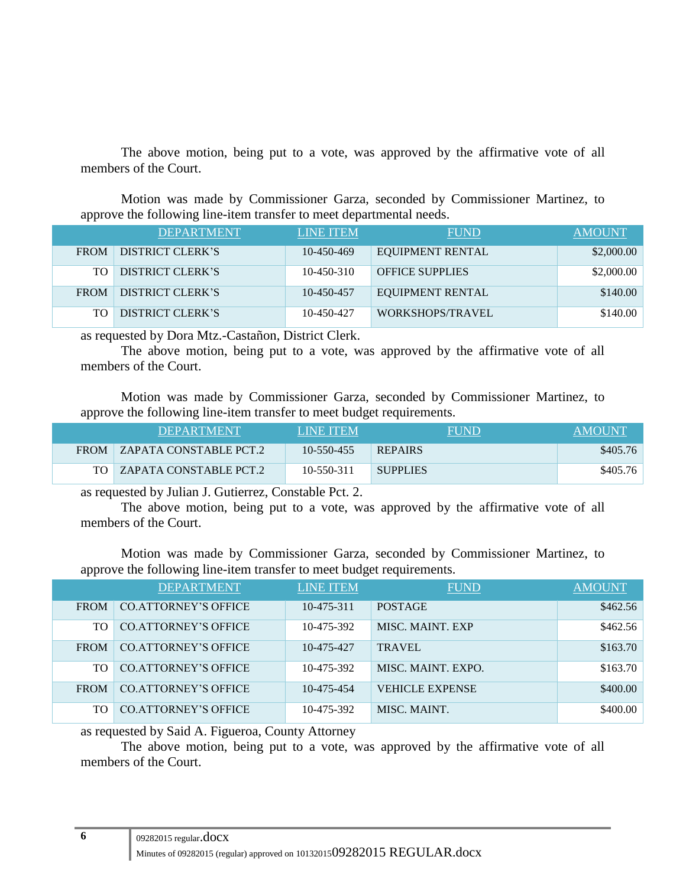The above motion, being put to a vote, was approved by the affirmative vote of all members of the Court.

Motion was made by Commissioner Garza, seconded by Commissioner Martinez, to approve the following line-item transfer to meet departmental needs.

|             | <b>DEPARTMENT</b>       | <b>LINE ITEM</b> | <b>FUND</b>             | <b>AMOUNT</b> |
|-------------|-------------------------|------------------|-------------------------|---------------|
| <b>FROM</b> | DISTRICT CLERK'S        | 10-450-469       | <b>EQUIPMENT RENTAL</b> | \$2,000.00    |
| TO.         | DISTRICT CLERK'S        | $10 - 450 - 310$ | <b>OFFICE SUPPLIES</b>  | \$2,000.00    |
| <b>FROM</b> | DISTRICT CLERK'S        | 10-450-457       | <b>EQUIPMENT RENTAL</b> | \$140.00      |
| <b>TO</b>   | <b>DISTRICT CLERK'S</b> | 10-450-427       | WORKSHOPS/TRAVEL        | \$140.00      |

as requested by Dora Mtz.-Castañon, District Clerk.

The above motion, being put to a vote, was approved by the affirmative vote of all members of the Court.

Motion was made by Commissioner Garza, seconded by Commissioner Martinez, to approve the following line-item transfer to meet budget requirements.

| <b>DEPARTMENT</b>             | <b>LINE ITEM</b> | FUND            | <b>AMOUNT</b> |
|-------------------------------|------------------|-----------------|---------------|
| FROM   ZAPATA CONSTABLE PCT.2 | 10-550-455       | <b>REPAIRS</b>  | \$405.76      |
| TO   ZAPATA CONSTABLE PCT.2   | 10-550-311       | <b>SUPPLIES</b> | \$405.76      |

as requested by Julian J. Gutierrez, Constable Pct. 2.

The above motion, being put to a vote, was approved by the affirmative vote of all members of the Court.

Motion was made by Commissioner Garza, seconded by Commissioner Martinez, to approve the following line-item transfer to meet budget requirements.

|             | <b>DEPARTMENT</b>           | <b>LINE ITEM</b> | <b>FUND</b>            | AMOUNT   |
|-------------|-----------------------------|------------------|------------------------|----------|
| <b>FROM</b> | CO. ATTORNEY'S OFFICE       | $10 - 475 - 311$ | <b>POSTAGE</b>         | \$462.56 |
| TO.         | CO. ATTORNEY'S OFFICE       | 10-475-392       | MISC. MAINT. EXP       | \$462.56 |
| <b>FROM</b> | <b>CO.ATTORNEY'S OFFICE</b> | 10-475-427       | <b>TRAVEL</b>          | \$163.70 |
| TO.         | <b>CO.ATTORNEY'S OFFICE</b> | 10-475-392       | MISC. MAINT. EXPO.     | \$163.70 |
| <b>FROM</b> | CO. ATTORNEY'S OFFICE       | 10-475-454       | <b>VEHICLE EXPENSE</b> | \$400.00 |
| TO          | <b>CO.ATTORNEY'S OFFICE</b> | 10-475-392       | MISC, MAINT.           | \$400.00 |

as requested by Said A. Figueroa, County Attorney

The above motion, being put to a vote, was approved by the affirmative vote of all members of the Court.